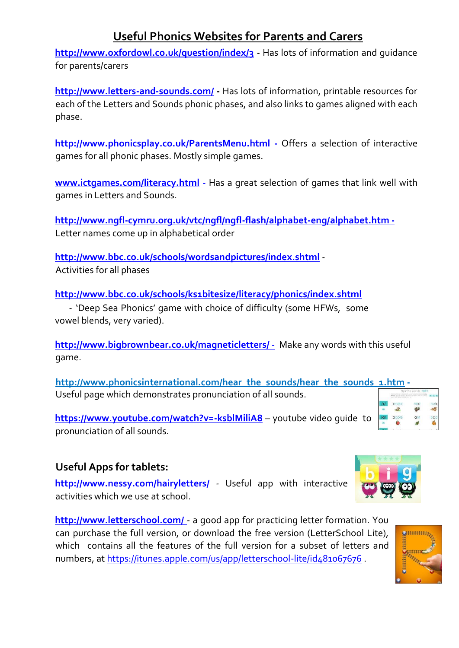# **Useful Phonics Websites for Parents and Carers**

**<http://www.oxfordowl.co.uk/question/index/3> [-](http://www.oxfordowl.co.uk/question/index/3)** Has lots of information and guidance for parents/carers

**<http://www.letters-and-sounds.com/> [-](http://www.letters-and-sounds.com/)** Has lots of information, printable resources for each of the Letters and Sounds phonic phases, and also links to games aligned with each phase.

**[http://www.phonicsplay.co.uk/ParentsMenu.html](http://www.phonicsplay.co.uk/ParentsMenu.htm) [-](http://www.phonicsplay.co.uk/ParentsMenu.htm)** Offers a selection of interactive games for all phonic phases. Mostly simple games.

**[www.ictgames.com/literacy.html](http://www.ictgames.com/literacy.html) [-](http://www.ictgames.com/literacy.html)** Has a great selection of games that link well with games in Letters and Sounds.

**<http://www.ngfl-cymru.org.uk/vtc/ngfl/ngfl-flash/alphabet-eng/alphabet.htm> -** Letter names come up in alphabetical order

**<http://www.bbc.co.uk/schools/wordsandpictures/index.shtml>** [-](http://www.bbc.co.uk/schools/wordsandpictures/index.shtml) Activities for all phases

**<http://www.bbc.co.uk/schools/ks1bitesize/literacy/phonics/index.shtml>** - 'Deep Sea Phonics' game with choice of difficulty (some HFWs, some

vowel blends, very varied).

**<http://www.bigbrownbear.co.uk/magneticletters/> [-](http://www.bigbrownbear.co.uk/magneticletters/)** Make any words with this useful game.

**[http://www.phonicsinternational.com/hear\\_the\\_sounds/hear\\_the\\_sounds\\_1.htm](http://www.phonicsinternational.com/hear_the_sounds/hear_the_sounds_1.htm) -** Useful page which demonstrates pronunciation of all sounds.

**<https://www.youtube.com/watch?v=-ksblMiliA8>** – youtube video guide to pronunciation of all sounds.

#### **Useful Apps for tablets:**

**<http://www.nessy.com/hairyletters/>** *-* Useful app with interactive activities which we use at school.

**<http://www.letterschool.com/>** [-](http://www.letterschool.com/) a good app for practicing letter formation. You can purchase the full version, or download the free version (LetterSchool Lite), which contains all the features of the full version for a subset of letters and numbers, at<https://itunes.apple.com/us/app/letterschool-lite/id481067676>.